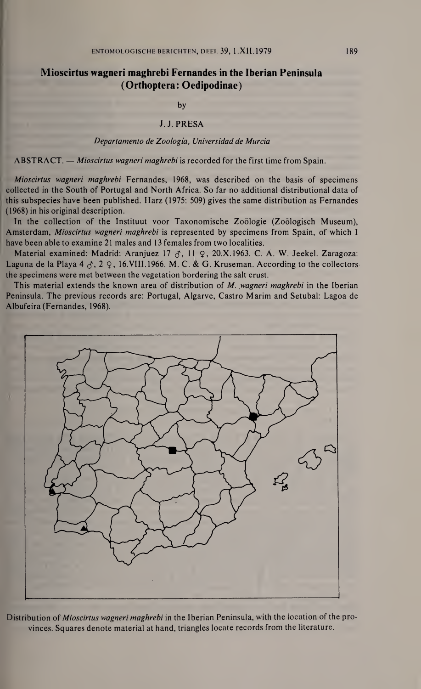## Mioscirtus wagneri maghrebi Fernandes in the Iberian Peninsula (Orthoptera: Oedipodinae)

by

## J. J. PRESA

## Departamento de Zoologia, Universidad de Murcia

ABSTRACT. — Mioscirtus wagneri maghrebi is recorded for the first time from Spain.

Mioscirtus wagneri maghrebi Fernandes, 1968, was described on the basis of specimens collected in the South of Portugal and North Africa. So far no additional distributional data of this subspecies have been published. Harz (1975: 509) gives the same distribution as Fernandes (1968) in his original description.

In the collection of the Instituut voor Taxonomische Zoölogie (Zoölogisch Museum), Amsterdam, Mioscirtus wagneri maghrebi is represented by specimens from Spain, of which I have been able to examine 21 males and 13 females from two localities.

Material examined: Madrid: Aranjuez 17  $\sigma$ , 11  $\varphi$ , 20.X.1963. C. A. W. Jeekel. Zaragoza: Laguna de la Playa 4  $\zeta$ , 2  $\zeta$ , 16.VIII.1966. M. C. & G. Kruseman. According to the collectors the specimens were met between the vegetation bordering the salt crust.

This material extends the known area of distribution of M. wagneri maghrebi in the Iberian Peninsula. The previous records are: Portugal, Algarve, Castro Marim and Setubal: Lagoa de Albufeira (Fernandes, 1968).



Distribution of *Mioscirtus wagneri maghrebi* in the Iberian Peninsula, with the location of the provinces. Squares denote material at hand, triangles locate records from the literature.